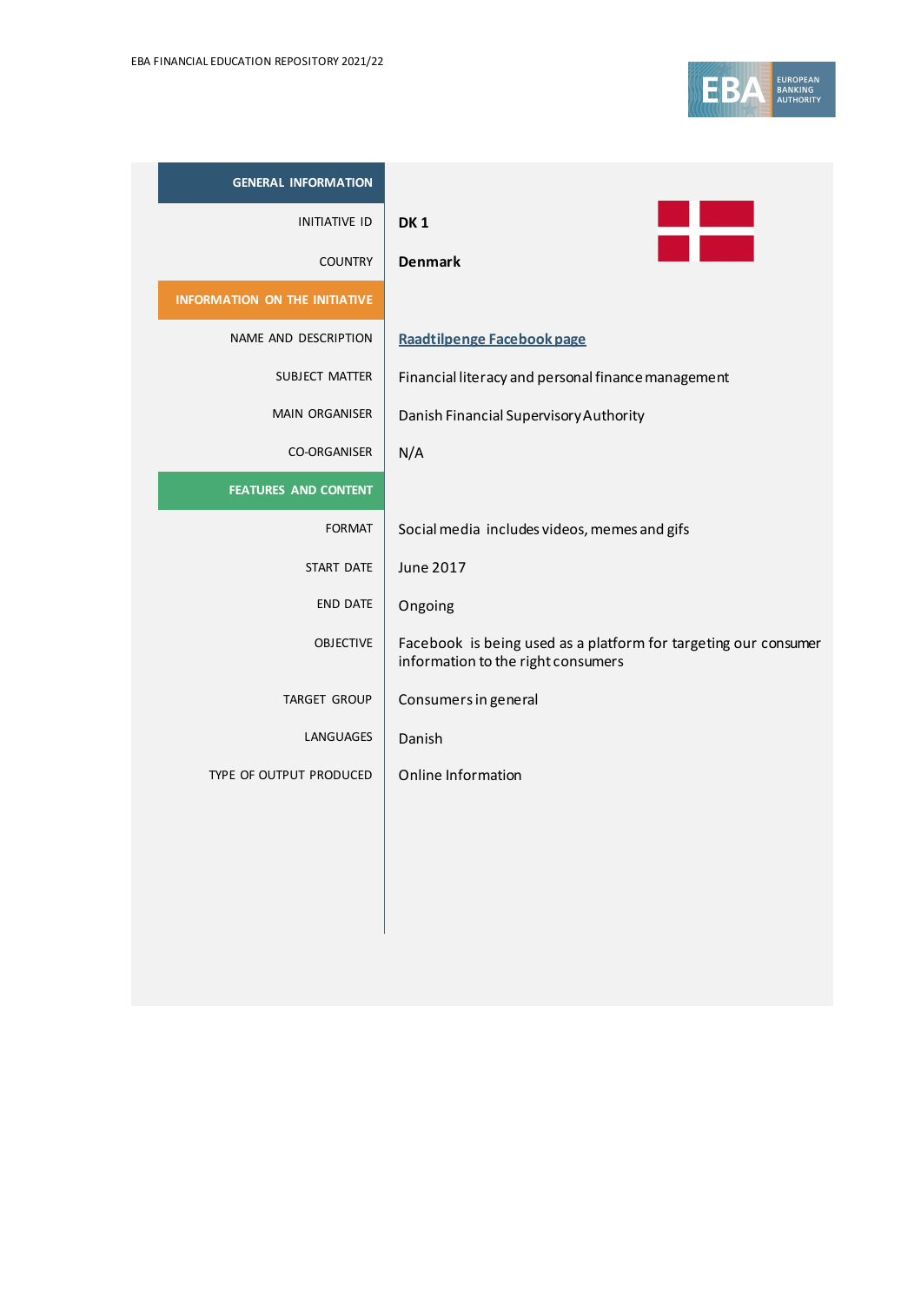| <b>GENERAL INFORMATION</b>    |                                                                                                       |
|-------------------------------|-------------------------------------------------------------------------------------------------------|
| <b>INITIATIVE ID</b>          | DK <sub>1</sub>                                                                                       |
| <b>COUNTRY</b>                | <b>Denmark</b>                                                                                        |
| INFORMATION ON THE INITIATIVE |                                                                                                       |
| NAME AND DESCRIPTION          | Raadtilpenge Facebook page                                                                            |
| SUBJECT MATTER                | Financial literacy and personal finance management                                                    |
| <b>MAIN ORGANISER</b>         | Danish Financial Supervisory Authority                                                                |
| CO-ORGANISER                  | N/A                                                                                                   |
| <b>FEATURES AND CONTENT</b>   |                                                                                                       |
| <b>FORMAT</b>                 | Social media includes videos, memes and gifs                                                          |
| START DATE                    | <b>June 2017</b>                                                                                      |
| <b>END DATE</b>               | Ongoing                                                                                               |
| <b>OBJECTIVE</b>              | Facebook is being used as a platform for targeting our consumer<br>information to the right consumers |
| <b>TARGET GROUP</b>           | Consumers in general                                                                                  |
| LANGUAGES                     | Danish                                                                                                |
| TYPE OF OUTPUT PRODUCED       | Online Information                                                                                    |
|                               |                                                                                                       |
|                               |                                                                                                       |
|                               |                                                                                                       |
|                               |                                                                                                       |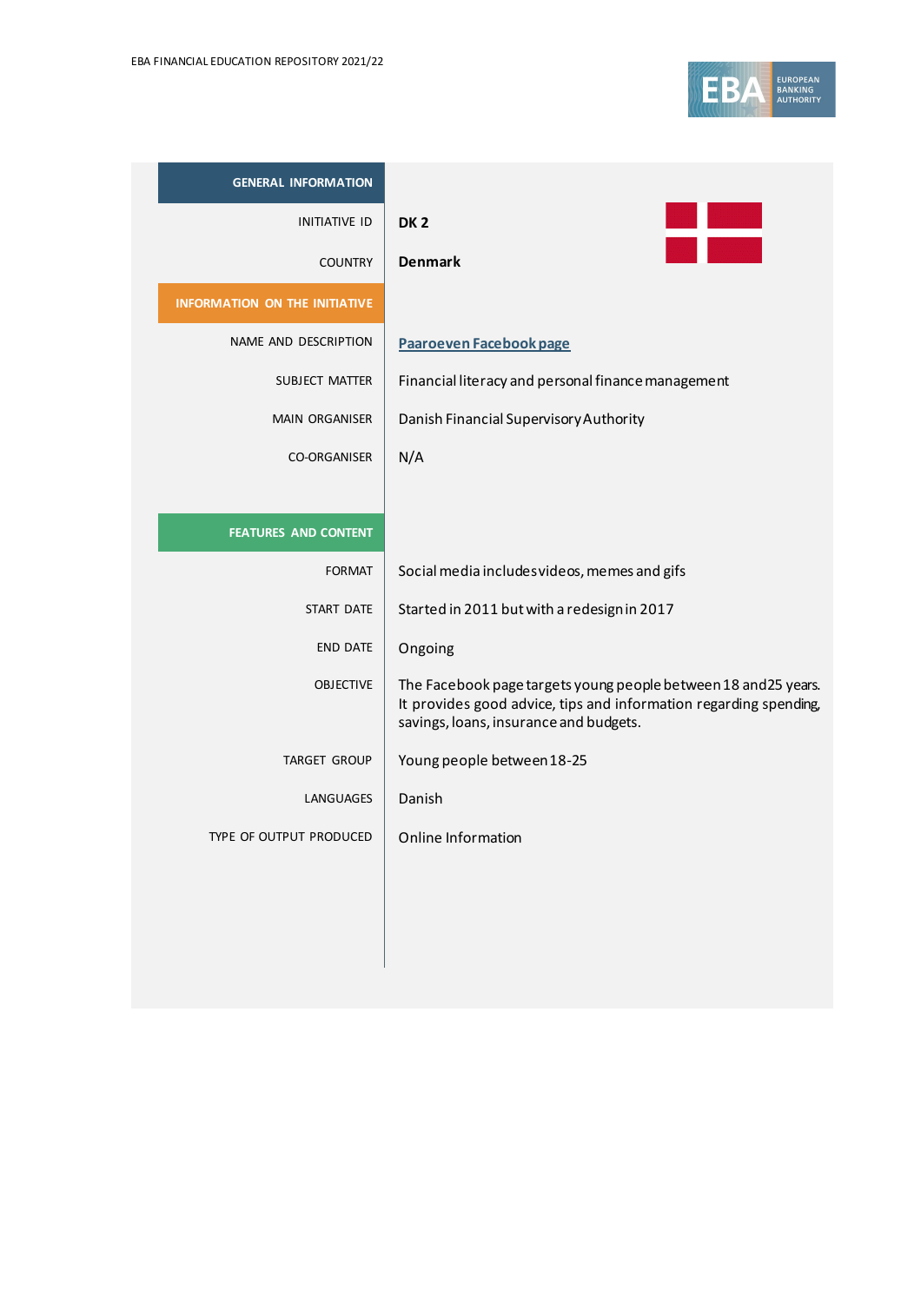

| <b>GENERAL INFORMATION</b>           |                                                                                                                                                                                |
|--------------------------------------|--------------------------------------------------------------------------------------------------------------------------------------------------------------------------------|
| <b>INITIATIVE ID</b>                 | DK <sub>2</sub>                                                                                                                                                                |
| <b>COUNTRY</b>                       | <b>Denmark</b>                                                                                                                                                                 |
| <b>INFORMATION ON THE INITIATIVE</b> |                                                                                                                                                                                |
| NAME AND DESCRIPTION                 | Paaroeven Facebook page                                                                                                                                                        |
| SUBJECT MATTER                       | Financial literacy and personal finance management                                                                                                                             |
| <b>MAIN ORGANISER</b>                | Danish Financial Supervisory Authority                                                                                                                                         |
| <b>CO-ORGANISER</b>                  | N/A                                                                                                                                                                            |
|                                      |                                                                                                                                                                                |
| <b>FEATURES AND CONTENT</b>          |                                                                                                                                                                                |
| <b>FORMAT</b>                        | Social media includes videos, memes and gifs                                                                                                                                   |
| START DATE                           | Started in 2011 but with a redesign in 2017                                                                                                                                    |
| <b>END DATE</b>                      | Ongoing                                                                                                                                                                        |
| <b>OBJECTIVE</b>                     | The Facebook page targets young people between 18 and 25 years.<br>It provides good advice, tips and information regarding spending,<br>savings, loans, insurance and budgets. |
| <b>TARGET GROUP</b>                  | Young people between 18-25                                                                                                                                                     |
| <b>LANGUAGES</b>                     | Danish                                                                                                                                                                         |
| TYPE OF OUTPUT PRODUCED              | Online Information                                                                                                                                                             |
|                                      |                                                                                                                                                                                |
|                                      |                                                                                                                                                                                |
|                                      |                                                                                                                                                                                |
|                                      |                                                                                                                                                                                |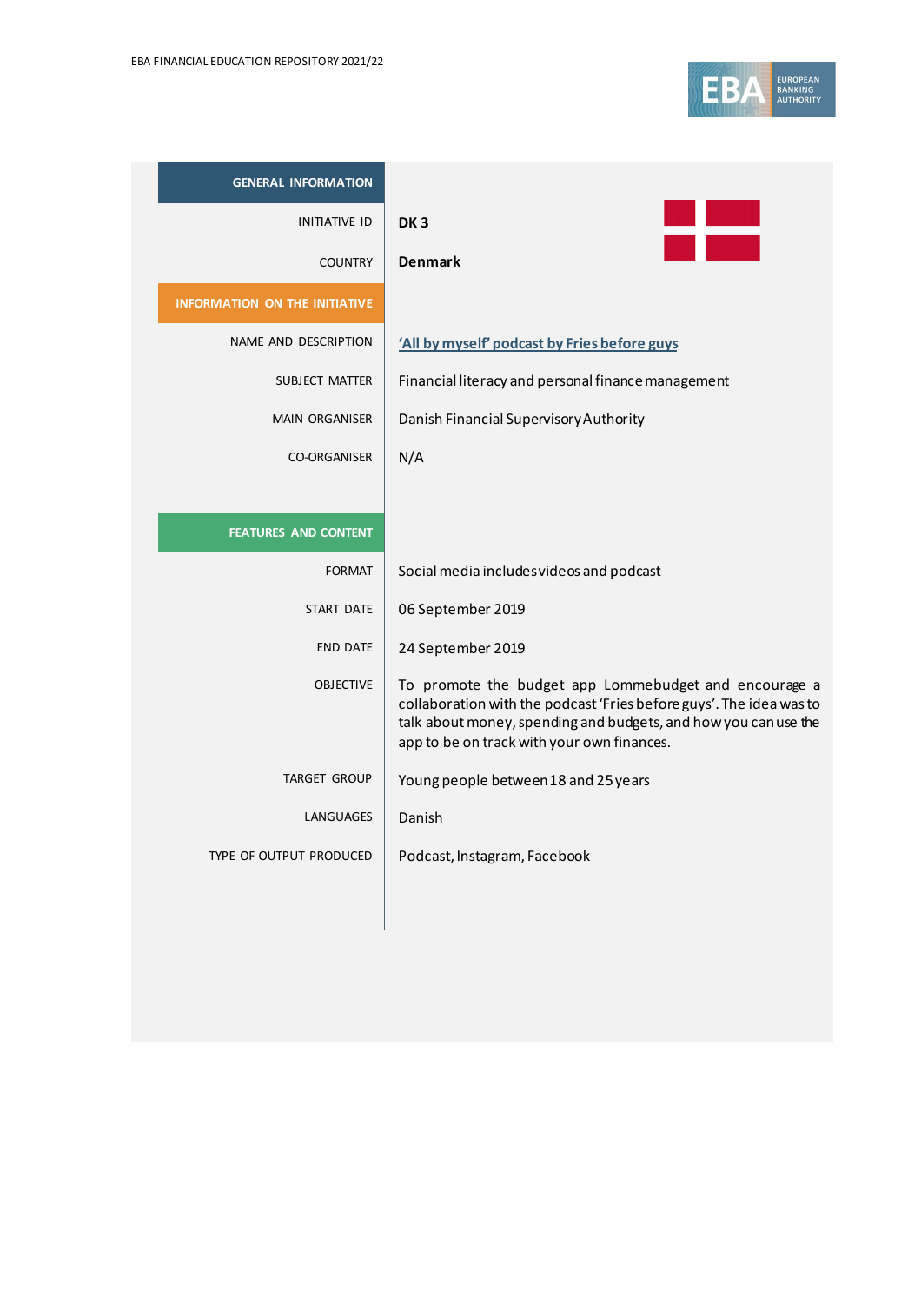

| <b>GENERAL INFORMATION</b>           |                                                                                                                                                                                                                                               |
|--------------------------------------|-----------------------------------------------------------------------------------------------------------------------------------------------------------------------------------------------------------------------------------------------|
| <b>INITIATIVE ID</b>                 | DK <sub>3</sub>                                                                                                                                                                                                                               |
| <b>COUNTRY</b>                       | <b>Denmark</b>                                                                                                                                                                                                                                |
| <b>INFORMATION ON THE INITIATIVE</b> |                                                                                                                                                                                                                                               |
| NAME AND DESCRIPTION                 | 'All by myself' podcast by Fries before guys                                                                                                                                                                                                  |
| SUBJECT MATTER                       | Financial literacy and personal finance management                                                                                                                                                                                            |
| <b>MAIN ORGANISER</b>                | Danish Financial Supervisory Authority                                                                                                                                                                                                        |
| <b>CO-ORGANISER</b>                  | N/A                                                                                                                                                                                                                                           |
|                                      |                                                                                                                                                                                                                                               |
| <b>FEATURES AND CONTENT</b>          |                                                                                                                                                                                                                                               |
| <b>FORMAT</b>                        | Social media includes videos and podcast                                                                                                                                                                                                      |
| START DATE                           | 06 September 2019                                                                                                                                                                                                                             |
| <b>END DATE</b>                      | 24 September 2019                                                                                                                                                                                                                             |
| <b>OBJECTIVE</b>                     | To promote the budget app Lommebudget and encourage a<br>collaboration with the podcast 'Fries before guys'. The idea was to<br>talk about money, spending and budgets, and how you can use the<br>app to be on track with your own finances. |
| <b>TARGET GROUP</b>                  | Young people between 18 and 25 years                                                                                                                                                                                                          |
| LANGUAGES                            | Danish                                                                                                                                                                                                                                        |
| TYPE OF OUTPUT PRODUCED              | Podcast, Instagram, Facebook                                                                                                                                                                                                                  |
|                                      |                                                                                                                                                                                                                                               |
|                                      |                                                                                                                                                                                                                                               |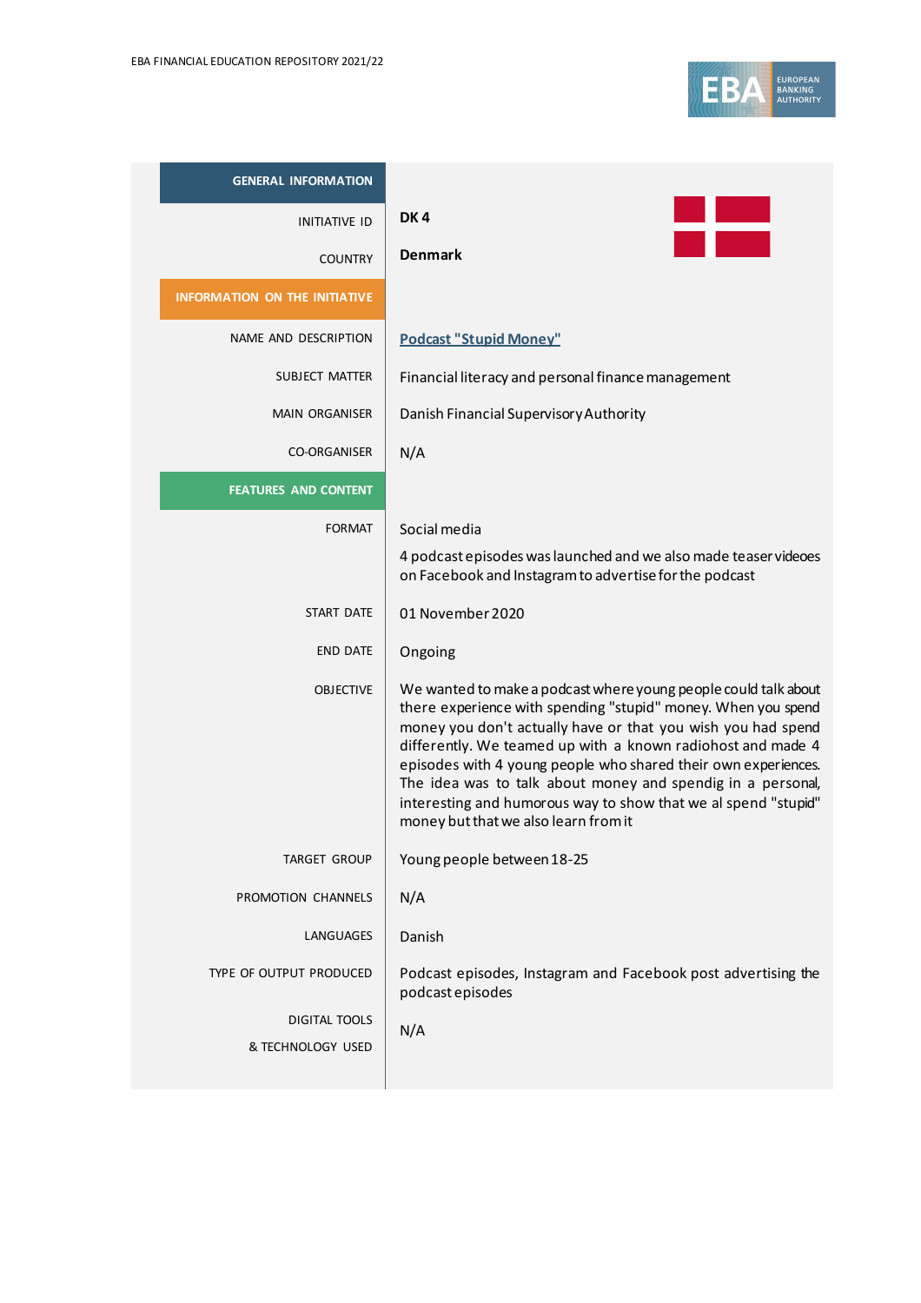

| <b>GENERAL INFORMATION</b>           |                                                                                                                                                                                                                                                                                                                                                                                                                                                                                                            |
|--------------------------------------|------------------------------------------------------------------------------------------------------------------------------------------------------------------------------------------------------------------------------------------------------------------------------------------------------------------------------------------------------------------------------------------------------------------------------------------------------------------------------------------------------------|
| INITIATIVE ID                        | DK4                                                                                                                                                                                                                                                                                                                                                                                                                                                                                                        |
| <b>COUNTRY</b>                       | <b>Denmark</b>                                                                                                                                                                                                                                                                                                                                                                                                                                                                                             |
| <b>INFORMATION ON THE INITIATIVE</b> |                                                                                                                                                                                                                                                                                                                                                                                                                                                                                                            |
| NAME AND DESCRIPTION                 | <b>Podcast "Stupid Money"</b>                                                                                                                                                                                                                                                                                                                                                                                                                                                                              |
| <b>SUBJECT MATTER</b>                | Financial literacy and personal finance management                                                                                                                                                                                                                                                                                                                                                                                                                                                         |
| <b>MAIN ORGANISER</b>                | Danish Financial Supervisory Authority                                                                                                                                                                                                                                                                                                                                                                                                                                                                     |
| <b>CO-ORGANISER</b>                  | N/A                                                                                                                                                                                                                                                                                                                                                                                                                                                                                                        |
| <b>FEATURES AND CONTENT</b>          |                                                                                                                                                                                                                                                                                                                                                                                                                                                                                                            |
| <b>FORMAT</b>                        | Social media                                                                                                                                                                                                                                                                                                                                                                                                                                                                                               |
|                                      | 4 podcast episodes was launched and we also made teaser videoes<br>on Facebook and Instagram to advertise for the podcast                                                                                                                                                                                                                                                                                                                                                                                  |
| START DATE                           | 01 November 2020                                                                                                                                                                                                                                                                                                                                                                                                                                                                                           |
| <b>END DATE</b>                      | Ongoing                                                                                                                                                                                                                                                                                                                                                                                                                                                                                                    |
| <b>OBJECTIVE</b>                     | We wanted to make a podcast where young people could talk about<br>there experience with spending "stupid" money. When you spend<br>money you don't actually have or that you wish you had spend<br>differently. We teamed up with a known radiohost and made 4<br>episodes with 4 young people who shared their own experiences.<br>The idea was to talk about money and spendig in a personal,<br>interesting and humorous way to show that we al spend "stupid"<br>money but that we also learn from it |
| TARGET GROUP                         | Young people between 18-25                                                                                                                                                                                                                                                                                                                                                                                                                                                                                 |
| PROMOTION CHANNELS                   | N/A                                                                                                                                                                                                                                                                                                                                                                                                                                                                                                        |
| LANGUAGES                            | Danish                                                                                                                                                                                                                                                                                                                                                                                                                                                                                                     |
| TYPE OF OUTPUT PRODUCED              | Podcast episodes, Instagram and Facebook post advertising the<br>podcast episodes                                                                                                                                                                                                                                                                                                                                                                                                                          |
| DIGITAL TOOLS<br>& TECHNOLOGY USED   | N/A                                                                                                                                                                                                                                                                                                                                                                                                                                                                                                        |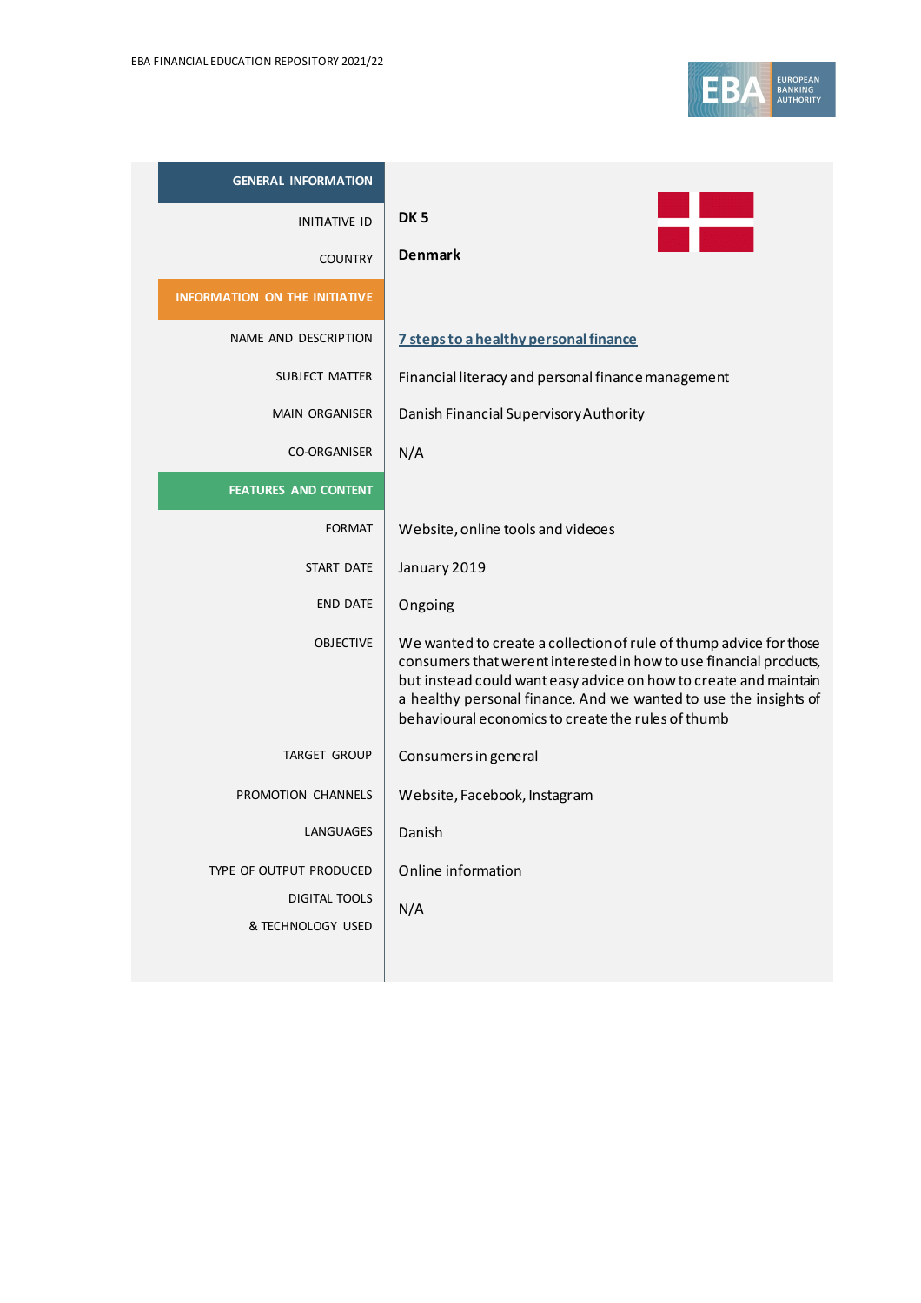| <b>GENERAL INFORMATION</b>           |                                                                                                                                                                                                                                                                                                                                        |
|--------------------------------------|----------------------------------------------------------------------------------------------------------------------------------------------------------------------------------------------------------------------------------------------------------------------------------------------------------------------------------------|
| <b>INITIATIVE ID</b>                 | DK <sub>5</sub>                                                                                                                                                                                                                                                                                                                        |
| <b>COUNTRY</b>                       | <b>Denmark</b>                                                                                                                                                                                                                                                                                                                         |
| <b>INFORMATION ON THE INITIATIVE</b> |                                                                                                                                                                                                                                                                                                                                        |
| NAME AND DESCRIPTION                 | 7 steps to a healthy personal finance                                                                                                                                                                                                                                                                                                  |
| <b>SUBJECT MATTER</b>                | Financial literacy and personal finance management                                                                                                                                                                                                                                                                                     |
| <b>MAIN ORGANISER</b>                | Danish Financial Supervisory Authority                                                                                                                                                                                                                                                                                                 |
| <b>CO-ORGANISER</b>                  | N/A                                                                                                                                                                                                                                                                                                                                    |
| <b>FEATURES AND CONTENT</b>          |                                                                                                                                                                                                                                                                                                                                        |
| <b>FORMAT</b>                        | Website, online tools and videoes                                                                                                                                                                                                                                                                                                      |
| <b>START DATE</b>                    | January 2019                                                                                                                                                                                                                                                                                                                           |
| <b>END DATE</b>                      | Ongoing                                                                                                                                                                                                                                                                                                                                |
| <b>OBJECTIVE</b>                     | We wanted to create a collection of rule of thump advice for those<br>consumers that werent interested in how to use financial products,<br>but instead could want easy advice on how to create and maintain<br>a healthy personal finance. And we wanted to use the insights of<br>behavioural economics to create the rules of thumb |
| <b>TARGET GROUP</b>                  | Consumers in general                                                                                                                                                                                                                                                                                                                   |
| PROMOTION CHANNELS                   | Website, Facebook, Instagram                                                                                                                                                                                                                                                                                                           |
| LANGUAGES                            | Danish                                                                                                                                                                                                                                                                                                                                 |
| TYPE OF OUTPUT PRODUCED              | Online information                                                                                                                                                                                                                                                                                                                     |
| <b>DIGITAL TOOLS</b>                 | N/A                                                                                                                                                                                                                                                                                                                                    |
| & TECHNOLOGY USED                    |                                                                                                                                                                                                                                                                                                                                        |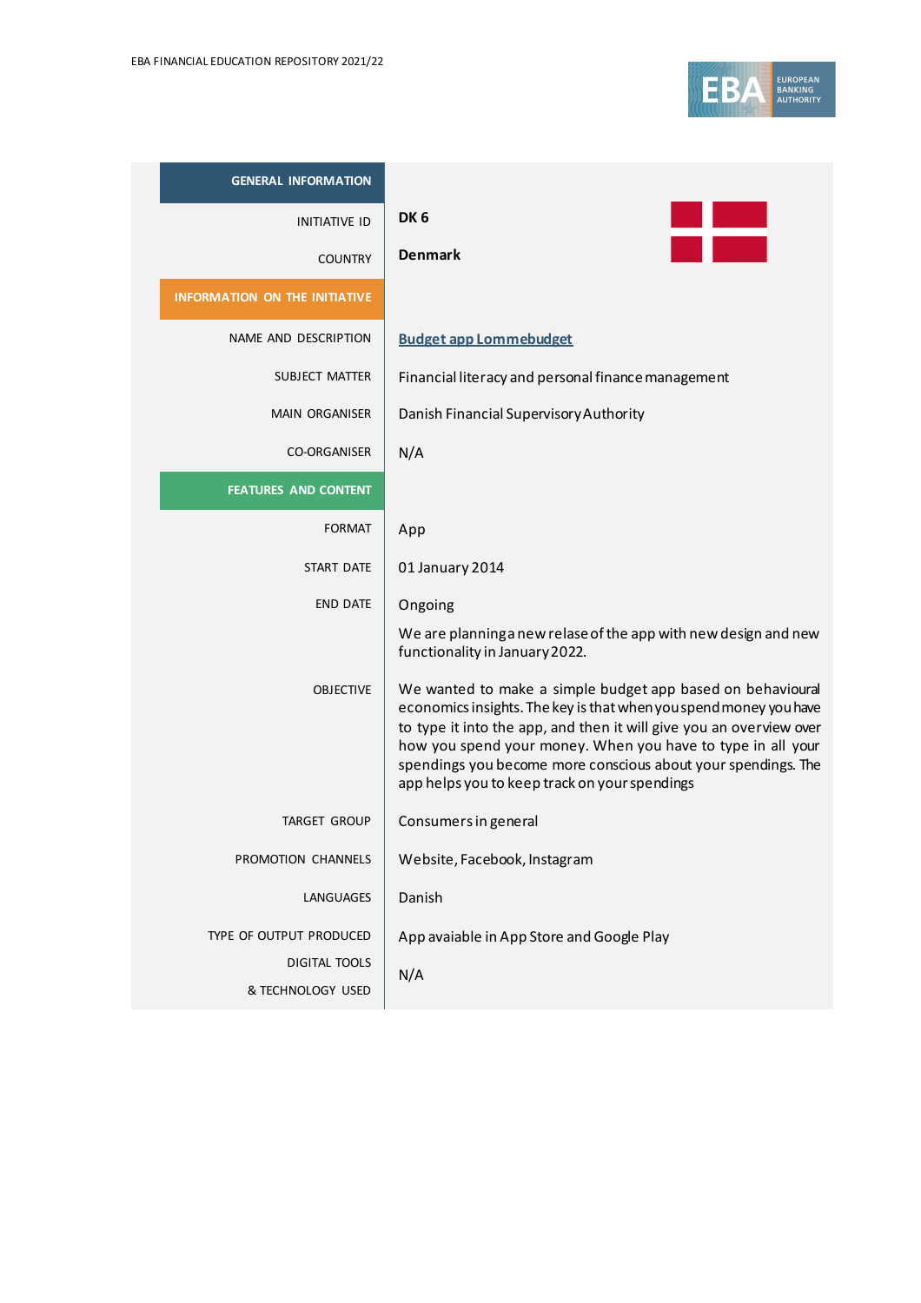| <b>GENERAL INFORMATION</b>           |                                                                                                                                                                                                                                                                                                                                                                                         |
|--------------------------------------|-----------------------------------------------------------------------------------------------------------------------------------------------------------------------------------------------------------------------------------------------------------------------------------------------------------------------------------------------------------------------------------------|
| <b>INITIATIVE ID</b>                 | DK <sub>6</sub>                                                                                                                                                                                                                                                                                                                                                                         |
| <b>COUNTRY</b>                       | <b>Denmark</b>                                                                                                                                                                                                                                                                                                                                                                          |
| <b>INFORMATION ON THE INITIATIVE</b> |                                                                                                                                                                                                                                                                                                                                                                                         |
| NAME AND DESCRIPTION                 | <b>Budget app Lommebudget</b>                                                                                                                                                                                                                                                                                                                                                           |
| SUBJECT MATTER                       | Financial literacy and personal finance management                                                                                                                                                                                                                                                                                                                                      |
| <b>MAIN ORGANISER</b>                | Danish Financial Supervisory Authority                                                                                                                                                                                                                                                                                                                                                  |
| <b>CO-ORGANISER</b>                  | N/A                                                                                                                                                                                                                                                                                                                                                                                     |
| <b>FEATURES AND CONTENT</b>          |                                                                                                                                                                                                                                                                                                                                                                                         |
| <b>FORMAT</b>                        | App                                                                                                                                                                                                                                                                                                                                                                                     |
| START DATE                           | 01 January 2014                                                                                                                                                                                                                                                                                                                                                                         |
| <b>END DATE</b>                      | Ongoing                                                                                                                                                                                                                                                                                                                                                                                 |
|                                      | We are planning a new relase of the app with new design and new<br>functionality in January 2022.                                                                                                                                                                                                                                                                                       |
| <b>OBJECTIVE</b>                     | We wanted to make a simple budget app based on behavioural<br>economics insights. The key is that when you spend money you have<br>to type it into the app, and then it will give you an overview over<br>how you spend your money. When you have to type in all your<br>spendings you become more conscious about your spendings. The<br>app helps you to keep track on your spendings |
| <b>TARGET GROUP</b>                  | Consumers in general                                                                                                                                                                                                                                                                                                                                                                    |
| PROMOTION CHANNELS                   | Website, Facebook, Instagram                                                                                                                                                                                                                                                                                                                                                            |
| LANGUAGES                            | Danish                                                                                                                                                                                                                                                                                                                                                                                  |
| TYPE OF OUTPUT PRODUCED              | App avaiable in App Store and Google Play                                                                                                                                                                                                                                                                                                                                               |
| DIGITAL TOOLS<br>& TECHNOLOGY USED   | N/A                                                                                                                                                                                                                                                                                                                                                                                     |
|                                      |                                                                                                                                                                                                                                                                                                                                                                                         |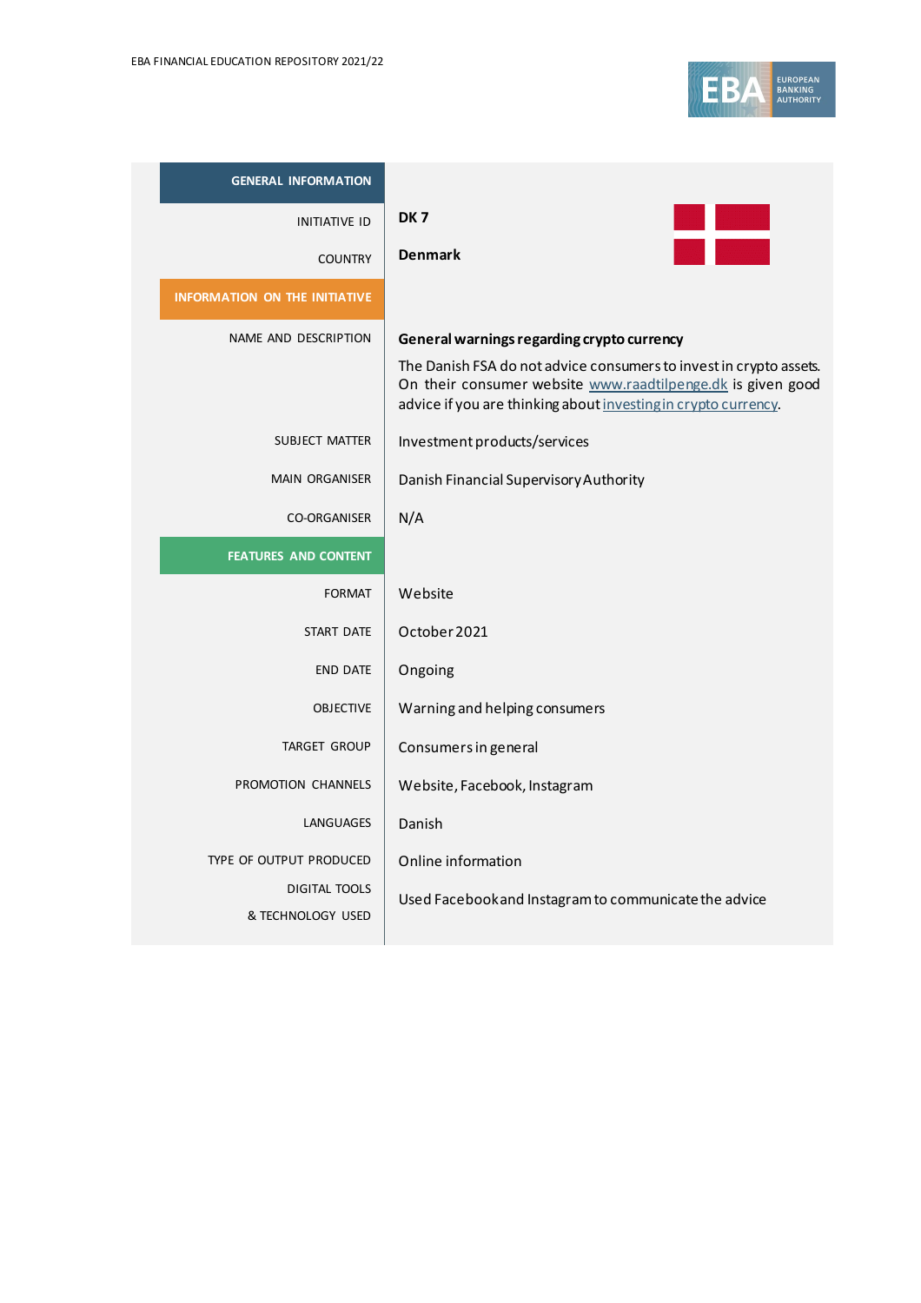

| <b>GENERAL INFORMATION</b>                                           |                                                                                                                                                                                                                                                   |
|----------------------------------------------------------------------|---------------------------------------------------------------------------------------------------------------------------------------------------------------------------------------------------------------------------------------------------|
| <b>INITIATIVE ID</b>                                                 | DK <sub>7</sub><br>in Estado<br>Militêra                                                                                                                                                                                                          |
| <b>COUNTRY</b>                                                       | <b>Denmark</b>                                                                                                                                                                                                                                    |
| <b>INFORMATION ON THE INITIATIVE</b>                                 |                                                                                                                                                                                                                                                   |
| NAME AND DESCRIPTION                                                 | General warnings regarding crypto currency<br>The Danish FSA do not advice consumers to invest in crypto assets.<br>On their consumer website www.raadtilpenge.dk is given good<br>advice if you are thinking about investing in crypto currency. |
| SUBJECT MATTER                                                       | Investment products/services                                                                                                                                                                                                                      |
| <b>MAIN ORGANISER</b>                                                | Danish Financial Supervisory Authority                                                                                                                                                                                                            |
| <b>CO-ORGANISER</b>                                                  | N/A                                                                                                                                                                                                                                               |
| <b>FEATURES AND CONTENT</b>                                          |                                                                                                                                                                                                                                                   |
| <b>FORMAT</b>                                                        | Website                                                                                                                                                                                                                                           |
| <b>START DATE</b>                                                    | October 2021                                                                                                                                                                                                                                      |
| <b>END DATE</b>                                                      | Ongoing                                                                                                                                                                                                                                           |
| <b>OBJECTIVE</b>                                                     | Warning and helping consumers                                                                                                                                                                                                                     |
| <b>TARGET GROUP</b>                                                  | Consumers in general                                                                                                                                                                                                                              |
| PROMOTION CHANNELS                                                   | Website, Facebook, Instagram                                                                                                                                                                                                                      |
| LANGUAGES                                                            | Danish                                                                                                                                                                                                                                            |
| TYPE OF OUTPUT PRODUCED<br><b>DIGITAL TOOLS</b><br>& TECHNOLOGY USED | Online information<br>Used Facebook and Instagram to communicate the advice                                                                                                                                                                       |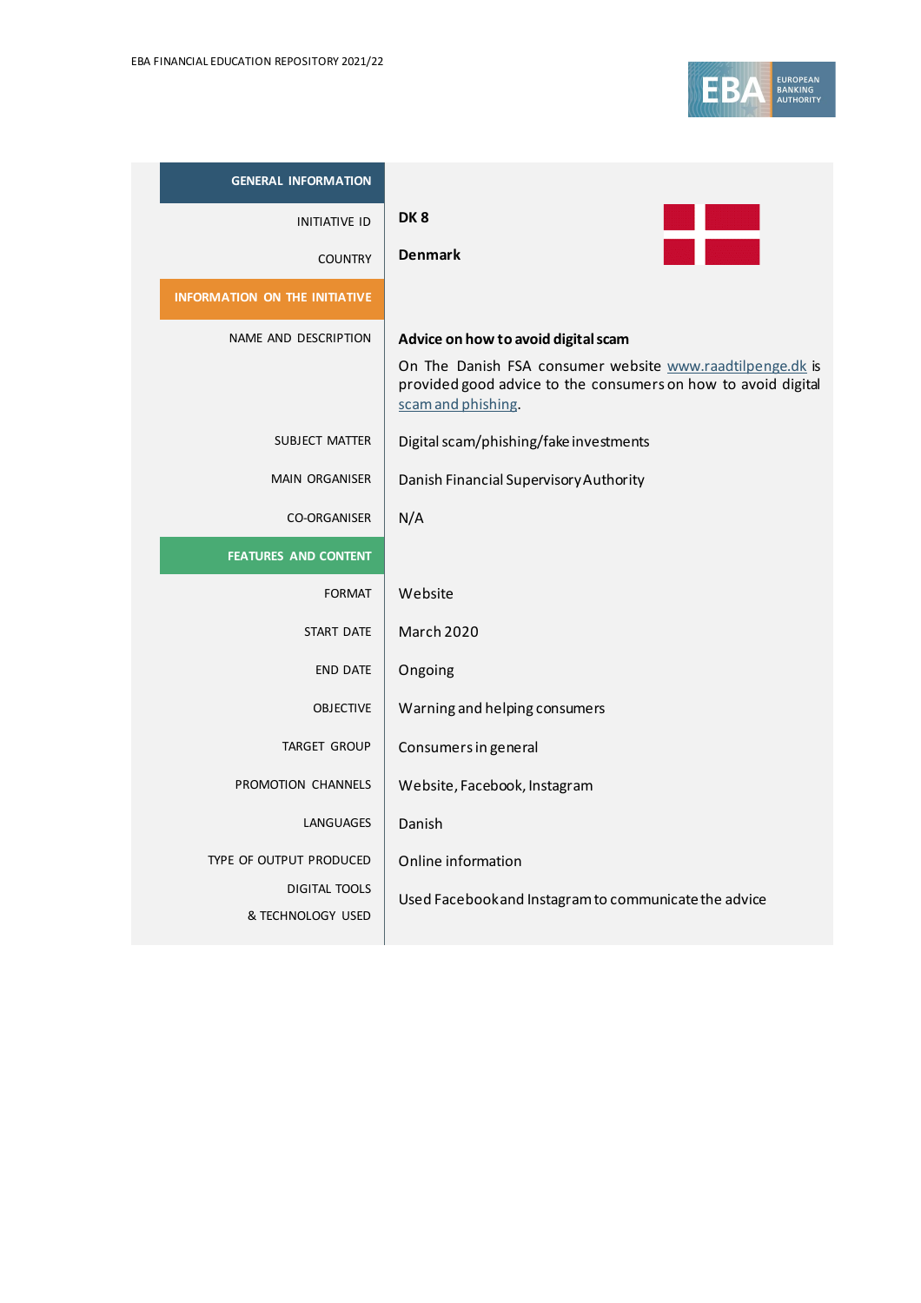

| <b>GENERAL INFORMATION</b>                                           |                                                                                                                                                                                         |
|----------------------------------------------------------------------|-----------------------------------------------------------------------------------------------------------------------------------------------------------------------------------------|
| <b>INITIATIVE ID</b>                                                 | DK <sub>8</sub>                                                                                                                                                                         |
| <b>COUNTRY</b>                                                       | <b>Denmark</b>                                                                                                                                                                          |
| <b>INFORMATION ON THE INITIATIVE</b>                                 |                                                                                                                                                                                         |
| NAME AND DESCRIPTION                                                 | Advice on how to avoid digital scam<br>On The Danish FSA consumer website www.raadtilpenge.dk is<br>provided good advice to the consumers on how to avoid digital<br>scam and phishing. |
| <b>SUBJECT MATTER</b>                                                | Digital scam/phishing/fake investments                                                                                                                                                  |
| <b>MAIN ORGANISER</b>                                                | Danish Financial Supervisory Authority                                                                                                                                                  |
| <b>CO-ORGANISER</b>                                                  | N/A                                                                                                                                                                                     |
| <b>FEATURES AND CONTENT</b>                                          |                                                                                                                                                                                         |
| <b>FORMAT</b>                                                        | Website                                                                                                                                                                                 |
| <b>START DATE</b>                                                    | <b>March 2020</b>                                                                                                                                                                       |
| <b>END DATE</b>                                                      | Ongoing                                                                                                                                                                                 |
| <b>OBJECTIVE</b>                                                     | Warning and helping consumers                                                                                                                                                           |
| <b>TARGET GROUP</b>                                                  | Consumers in general                                                                                                                                                                    |
| PROMOTION CHANNELS                                                   | Website, Facebook, Instagram                                                                                                                                                            |
| LANGUAGES                                                            | Danish                                                                                                                                                                                  |
| TYPE OF OUTPUT PRODUCED<br><b>DIGITAL TOOLS</b><br>& TECHNOLOGY USED | Online information<br>Used Facebook and Instagram to communicate the advice                                                                                                             |